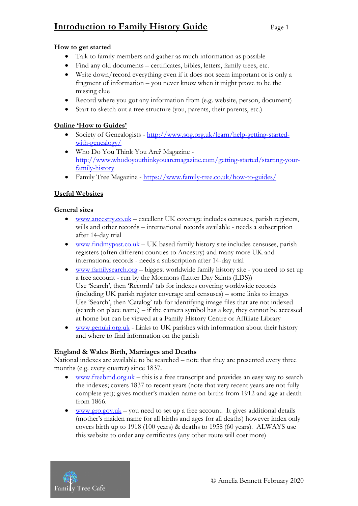# **Introduction to Family History Guide** Page 1

### How to get started

- Talk to family members and gather as much information as possible
- Find any old documents certificates, bibles, letters, family trees, etc.
- Write down/record everything even if it does not seem important or is only a fragment of information – you never know when it might prove to be the missing clue
- Record where you got any information from (e.g. website, person, document)
- Start to sketch out a tree structure (you, parents, their parents, etc.)

## Online 'How to Guides'

- Society of Genealogists http://www.sog.org.uk/learn/help-getting-startedwith-genealogy/
- Who Do You Think You Are? Magazine http://www.whodoyouthinkyouaremagazine.com/getting-started/starting-yourfamily-history
- Family Tree Magazine https://www.family-tree.co.uk/how-to-guides/

## Useful Websites

### General sites

- www.ancestry.co.uk excellent UK coverage includes censuses, parish registers, wills and other records – international records available - needs a subscription after 14-day trial
- www.findmypast.co.uk UK based family history site includes censuses, parish registers (often different counties to Ancestry) and many more UK and international records - needs a subscription after 14-day trial
- www.familysearch.org biggest worldwide family history site you need to set up a free account - run by the Mormons (Latter Day Saints (LDS)) Use 'Search', then 'Records' tab for indexes covering worldwide records (including UK parish register coverage and censuses) – some links to images Use 'Search', then 'Catalog' tab for identifying image files that are not indexed (search on place name) – if the camera symbol has a key, they cannot be accessed at home but can be viewed at a Family History Centre or Affiliate Library
- www.genuki.org.uk Links to UK parishes with information about their history and where to find information on the parish

### England & Wales Birth, Marriages and Deaths

National indexes are available to be searched – note that they are presented every three months (e.g. every quarter) since 1837.

- www.freebmd.org.uk this is a free transcript and provides an easy way to search the indexes; covers 1837 to recent years (note that very recent years are not fully complete yet); gives mother's maiden name on births from 1912 and age at death from 1866.
- www.gro.gov.uk you need to set up a free account. It gives additional details (mother's maiden name for all births and ages for all deaths) however index only covers birth up to 1918 (100 years) & deaths to 1958 (60 years). ALWAYS use this website to order any certificates (any other route will cost more)